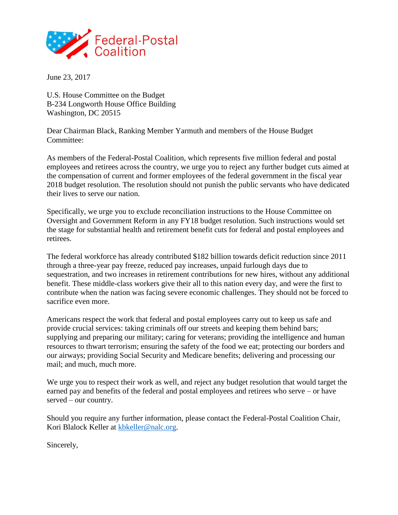

June 23, 2017

U.S. House Committee on the Budget B-234 Longworth House Office Building Washington, DC 20515

Dear Chairman Black, Ranking Member Yarmuth and members of the House Budget Committee:

As members of the Federal-Postal Coalition, which represents five million federal and postal employees and retirees across the country, we urge you to reject any further budget cuts aimed at the compensation of current and former employees of the federal government in the fiscal year 2018 budget resolution. The resolution should not punish the public servants who have dedicated their lives to serve our nation.

Specifically, we urge you to exclude reconciliation instructions to the House Committee on Oversight and Government Reform in any FY18 budget resolution. Such instructions would set the stage for substantial health and retirement benefit cuts for federal and postal employees and retirees.

The federal workforce has already contributed \$182 billion towards deficit reduction since 2011 through a three-year pay freeze, reduced pay increases, unpaid furlough days due to sequestration, and two increases in retirement contributions for new hires, without any additional benefit. These middle-class workers give their all to this nation every day, and were the first to contribute when the nation was facing severe economic challenges. They should not be forced to sacrifice even more.

Americans respect the work that federal and postal employees carry out to keep us safe and provide crucial services: taking criminals off our streets and keeping them behind bars; supplying and preparing our military; caring for veterans; providing the intelligence and human resources to thwart terrorism; ensuring the safety of the food we eat; protecting our borders and our airways; providing Social Security and Medicare benefits; delivering and processing our mail; and much, much more.

We urge you to respect their work as well, and reject any budget resolution that would target the earned pay and benefits of the federal and postal employees and retirees who serve – or have served – our country.

Should you require any further information, please contact the Federal-Postal Coalition Chair, Kori Blalock Keller at [kbkeller@nalc.org.](mailto:kbkeller@nalc.org)

Sincerely,